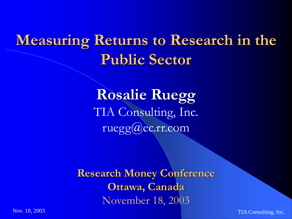# **Measuring Returns to Research in the Public Sector**

**Rosalie Ruegg** TIA Consulting, Inc. ruegg@ec.rr.com

**Research Money Conference Ottawa, Canada** November 18, 2003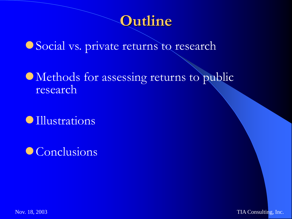#### **Outline**

Social vs. private returns to research

Methods for assessing returns to public research

Illustrations

Conclusions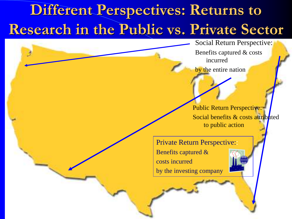# **Different Perspectives: Returns to Research in the Public vs. Private Sector**

Nov. 18, 2003 Tiam and 2003 Tiam and 2003 Tiam and 2003 Tiam and 2003 Tiam and 2003 Tiam and 2003 Tiam and 200

Social Return Perspective: Benefits captured & costs incurred

by the entire nation

Public Return Perspective: Social benefits & costs attributed to public action

Private Return Perspective:: Benefits captured & costs incurred by the investing company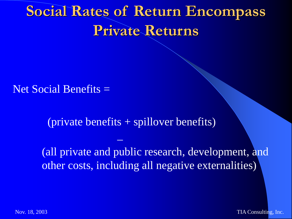# **Social Rates of Return Encompass Private Returns**

Net Social Benefits =

(private benefits + spillover benefits)

 $\frac{1}{2}$ 

(all private and public research, development, and other costs, including all negative externalities)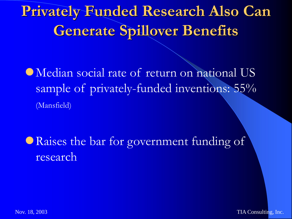# **Privately Funded Research Also Can Generate Spillover Benefits**

Median social rate of return on national US sample of privately-funded inventions: 55% (Mansfield)

Raises the bar for government funding of research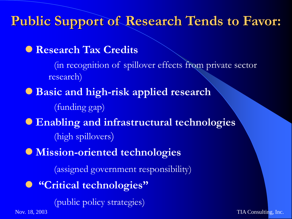**Public Support of Research Tends to Favor:** 

**Research Tax Credits**

(in recognition of spillover effects from private sector research)

- **Basic and high-risk applied research** (funding gap)
- **Enabling and infrastructural technologies** (high spillovers)
- **Mission-oriented technologies**

(assigned government responsibility)

**"Critical technologies"** 

(public policy strategies)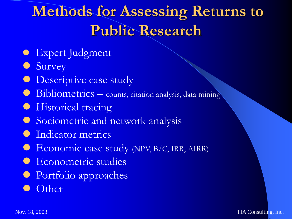# **Methods for Assessing Returns to Public Research**

- **Expert Judgment**
- **Survey**
- **Descriptive case study**
- **Bibliometrics** counts, citation analysis, data mining
- **•** Historical tracing
- **Sociometric and network analysis**
- Indicator metrics
- **Economic case study (NPV, B/C, IRR, AIRR)**
- **Econometric studies**
- Portfolio approaches
- **Other**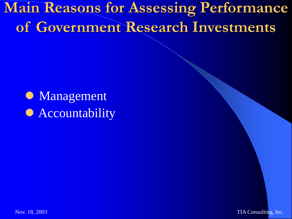**Main Reasons for Assessing Performance of Government Research Investments**

• Management **• Accountability**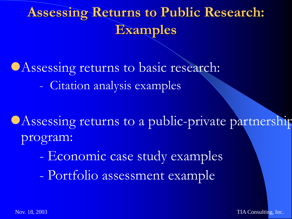## **Assessing Returns to Public Research: Examples**

CAssessing returns to basic research: - Citation analysis examples

CAssessing returns to a public-private partnership program:

- Economic case study examples
- Portfolio assessment example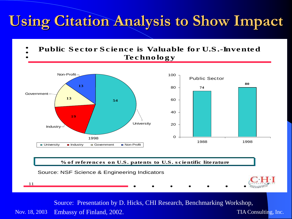# **Using Citation Analysis to Show Impact**

- Public Sector Science is Valuable for U.S.-Invented
	- Technology



#### % of references on U.S. patents to U.S. scientific literature



11

Nov. 18, 2003 Embassy of Finland, 2002. The state of the state of the TIA Consulting, Inc. Source: Presentation by D. Hicks, CHI Research, Benchmarking Workshop,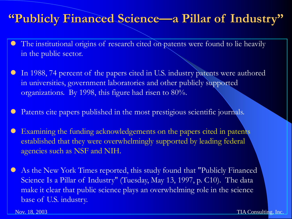#### **"Publicly Financed Science—a Pillar of Industry"**

- The institutional origins of research cited on patents were found to lie heavily in the public sector.
- In 1988, 74 percent of the papers cited in U.S. industry patents were authored in universities, government laboratories and other publicly supported organizations. By 1998, this figure had risen to 80%.
- Patents cite papers published in the most prestigious scientific journals.
- Examining the funding acknowledgements on the papers cited in patents established that they were overwhelmingly supported by leading federal agencies such as NSF and NIH.
- As the New York Times reported, this study found that "Publicly Financed Science Is a Pillar of Industry" (Tuesday, May 13, 1997, p. C10). The data make it clear that public science plays an overwhelming role in the science base of U.S. industry.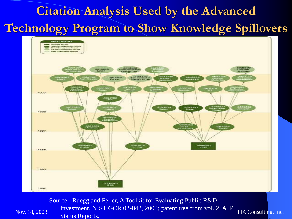#### **Citation Analysis Used by the Advanced Technology Program to Show Knowledge Spillovers**



Nov. 18, 2003  $\frac{M}{2}$  and  $\frac{M}{2}$  and  $\frac{M}{2}$  and  $\frac{M}{2}$  and  $\frac{M}{2}$  and  $\frac{M}{2}$  and  $\frac{M}{2}$  TIA Consulting, Inc. Source: Ruegg and Feller, A Toolkit for Evaluating Public R&D Investment, NIST GCR 02-842, 2003; patent tree from vol. 2, ATP Status Reports.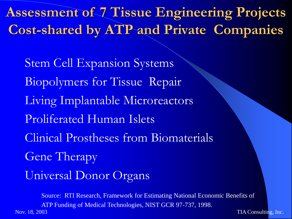**Assessment of 7 Tissue Engineering Projects Cost-shared by ATP and Private Companies**

Stem Cell Expansion Systems Biopolymers for Tissue Repair Living Implantable Microreactors Proliferated Human Islets Clinical Prostheses from Biomaterials Gene Therapy Universal Donor Organs

Nov. 18, 2003 TIA Consulting, Inc. Source: RTI Research, Framework for Estimating National Economic Benefits of ATP Funding of Medical Technologies, NIST GCR 97-737, 1998.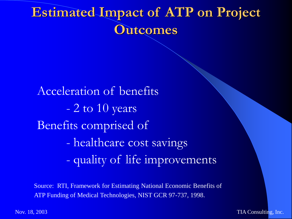#### **Estimated Impact of ATP on Project Outcomes**

Acceleration of benefits - 2 to 10 years Benefits comprised of - healthcare cost savings - quality of life improvements

Source: RTI, Framework for Estimating National Economic Benefits of ATP Funding of Medical Technologies, NIST GCR 97-737, 1998.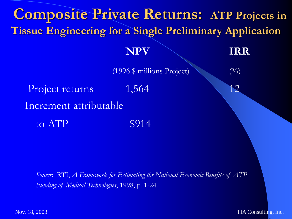

*Source*: RTI, *A Framework for Estimating the National Economic Benefits of ATP Funding of Medical Technologies*, 1998, p. 1-24.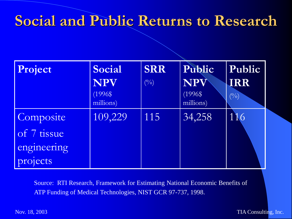#### **Social and Public Returns to Research**

| Project     | Social                  | <b>SRR</b> | Public                  | Public     |
|-------------|-------------------------|------------|-------------------------|------------|
|             | <b>NPV</b>              | (0/0)      | NPV                     | <b>IRR</b> |
|             | $(1996$ \$<br>millions) |            | $(1996$ \$<br>millions) | (0/0)      |
| Composite   | 109,229                 | 115        | 34,258                  | 116        |
| of 7 tissue |                         |            |                         |            |
| engineering |                         |            |                         |            |
| projects    |                         |            |                         |            |

Source: RTI Research, Framework for Estimating National Economic Benefits of ATP Funding of Medical Technologies, NIST GCR 97-737, 1998.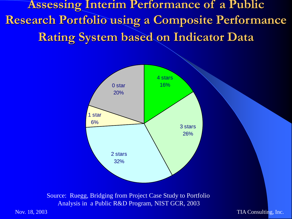**Assessing Interim Performance of a Public Research Portfolio using a Composite Performance Rating System based on Indicator Data**



Source: Ruegg, Bridging from Project Case Study to Portfolio Analysis in a Public R&D Program, NIST GCR, 2003